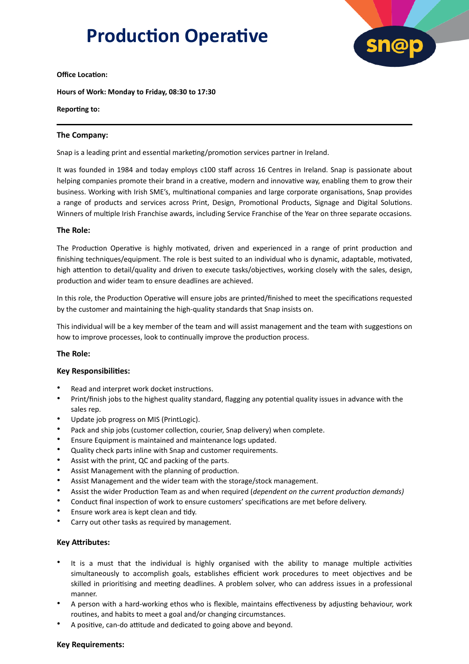# **Production Operative**



#### **Office Location:**

**Hours of Work: Monday to Friday, 08:30 to 17:30**

#### **Reporting to:**

## **The Company:**

Snap is a leading print and essential marketing/promotion services partner in Ireland.

It was founded in 1984 and today employs c100 staff across 16 Centres in Ireland. Snap is passionate about helping companies promote their brand in a creative, modern and innovative way, enabling them to grow their business. Working with Irish SME's, multinational companies and large corporate organisations, Snap provides a range of products and services across Print, Design, Promotional Products, Signage and Digital Solutions. Winners of multiple Irish Franchise awards, including Service Franchise of the Year on three separate occasions.

## **The Role:**

The Production Operative is highly motivated, driven and experienced in a range of print production and finishing techniques/equipment. The role is best suited to an individual who is dynamic, adaptable, motivated, high attention to detail/quality and driven to execute tasks/objectives, working closely with the sales, design, production and wider team to ensure deadlines are achieved.

In this role, the Production Operative will ensure jobs are printed/finished to meet the specifications requested by the customer and maintaining the high-quality standards that Snap insists on.

This individual will be a key member of the team and will assist management and the team with suggestions on how to improve processes, look to continually improve the production process.

## **The Role:**

## **Key Responsibilities:**

- Read and interpret work docket instructions.
- Print/finish jobs to the highest quality standard, flagging any potential quality issues in advance with the sales rep.
- Update job progress on MIS (PrintLogic).
- Pack and ship jobs (customer collection, courier, Snap delivery) when complete.
- Ensure Equipment is maintained and maintenance logs updated.
- Quality check parts inline with Snap and customer requirements.
- Assist with the print, QC and packing of the parts.
- Assist Management with the planning of production.
- Assist Management and the wider team with the storage/stock management.
- Assist the wider Production Team as and when required (*dependent on the current production demands)*
- Conduct final inspection of work to ensure customers' specifications are met before delivery.
- Ensure work area is kept clean and tidy.
- Carry out other tasks as required by management.

## **Key Attributes:**

- It is a must that the individual is highly organised with the ability to manage multiple activities simultaneously to accomplish goals, establishes efficient work procedures to meet objectives and be skilled in prioritising and meeting deadlines. A problem solver, who can address issues in a professional manner.
- A person with a hard-working ethos who is flexible, maintains effectiveness by adjusting behaviour, work routines, and habits to meet a goal and/or changing circumstances.
- A positive, can-do attitude and dedicated to going above and beyond.

## **Key Requirements:**